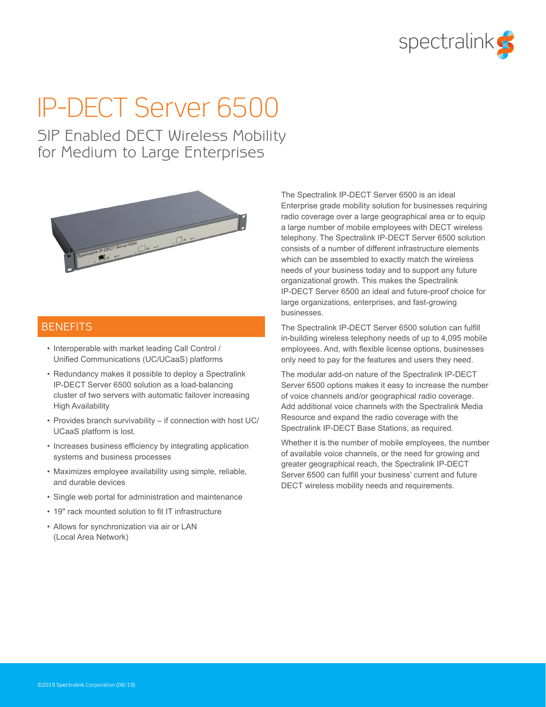

# IP-DECT Server 6500

SIP Enabled DECT Wireless Mobility for Medium to Large Enterprises



### **BENEFITS**

- Interoperable with market leading Call Control / Unified Communications (UC/UCaaS) platforms
- Redundancy makes it possible to deploy a Spectralink IP-DECT Server 6500 solution as a load-balancing cluster of two servers with automatic failover increasing High Availability
- Provides branch survivability if connection with host UC/ UCaaS platform is lost.
- Increases business efficiency by integrating application systems and business processes
- Maximizes employee availability using simple, reliable, and durable devices
- Single web portal for administration and maintenance
- 19" rack mounted solution to fit IT infrastructure
- Allows for synchronization via air or LAN (Local Area Network)

The Spectralink IP-DECT Server 6500 is an ideal Enterprise grade mobility solution for businesses requiring radio coverage over a large geographical area or to equip a large number of mobile employees with DECT wireless telephony. The Spectralink IP-DECT Server 6500 solution consists of a number of different infrastructure elements which can be assembled to exactly match the wireless needs of your business today and to support any future organizational growth. This makes the Spectralink IP-DECT Server 6500 an ideal and future-proof choice for large organizations, enterprises, and fast-growing businesses.

The Spectralink IP-DECT Server 6500 solution can fulfill in-building wireless telephony needs of up to 4,095 mobile employees. And, with flexible license options, businesses only need to pay for the features and users they need.

The modular add-on nature of the Spectralink IP-DECT Server 6500 options makes it easy to increase the number of voice channels and/or geographical radio coverage. Add additional voice channels with the Spectralink Media Resource and expand the radio coverage with the Spectralink IP-DECT Base Stations, as required.

Whether it is the number of mobile employees, the number of available voice channels, or the need for growing and greater geographical reach, the Spectralink IP-DECT Server 6500 can fulfill your business' current and future DECT wireless mobility needs and requirements.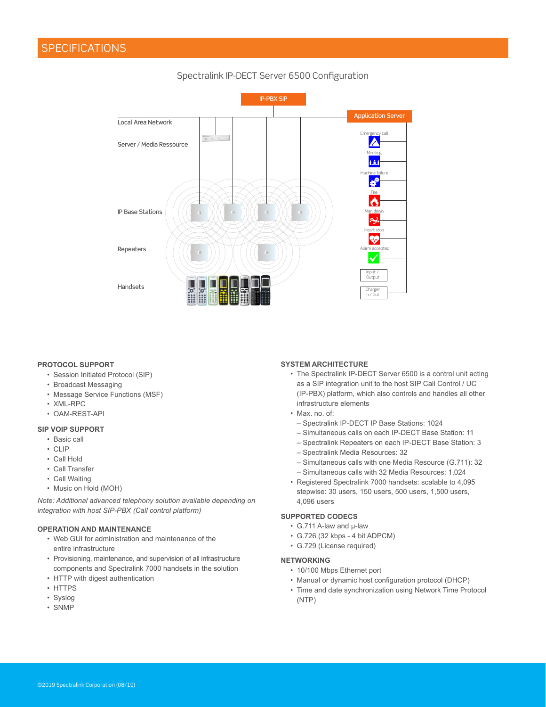### Spectralink IP-DECT Server 6500 Configuration



#### **PROTOCOL SUPPORT**

- Session Initiated Protocol (SIP)
- Broadcast Messaging
- Message Service Functions (MSF)
- XML-RPC
- OAM-REST-API

#### **SIP VOIP SUPPORT**

- Basic call
- CLIP
- Call Hold
- Call Transfer
- Call Waiting
- Music on Hold (MOH)

*Note: Additional advanced telephony solution available depending on integration with host SIP-PBX (Call control platform)*

#### **OPERATION AND MAINTENANCE**

- Web GUI for administration and maintenance of the entire infrastructure
- Provisioning, maintenance, and supervision of all infrastructure components and Spectralink 7000 handsets in the solution
- HTTP with digest authentication
- HTTPS
- Syslog
- SNMP

#### **SYSTEM ARCHITECTURE**

- The Spectralink IP-DECT Server 6500 is a control unit acting as a SIP integration unit to the host SIP Call Control / UC (IP-PBX) platform, which also controls and handles all other infrastructure elements
- Max. no. of:
	- Spectralink IP-DECT IP Base Stations: 1024
	- Simultaneous calls on each IP-DECT Base Station: 11
	- Spectralink Repeaters on each IP-DECT Base Station: 3
	- Spectralink Media Resources: 32
	- Simultaneous calls with one Media Resource (G.711): 32 – Simultaneous calls with 32 Media Resources: 1,024
- Registered Spectralink 7000 handsets: scalable to 4,095 stepwise: 30 users, 150 users, 500 users, 1,500 users, 4,096 users

#### **SUPPORTED CODECS**

- G.711 A-law and μ-law
- G.726 (32 kbps 4 bit ADPCM)
- G.729 (License required)

#### **NETWORKING**

- 10/100 Mbps Ethernet port
- Manual or dynamic host configuration protocol (DHCP)
- Time and date synchronization using Network Time Protocol (NTP)